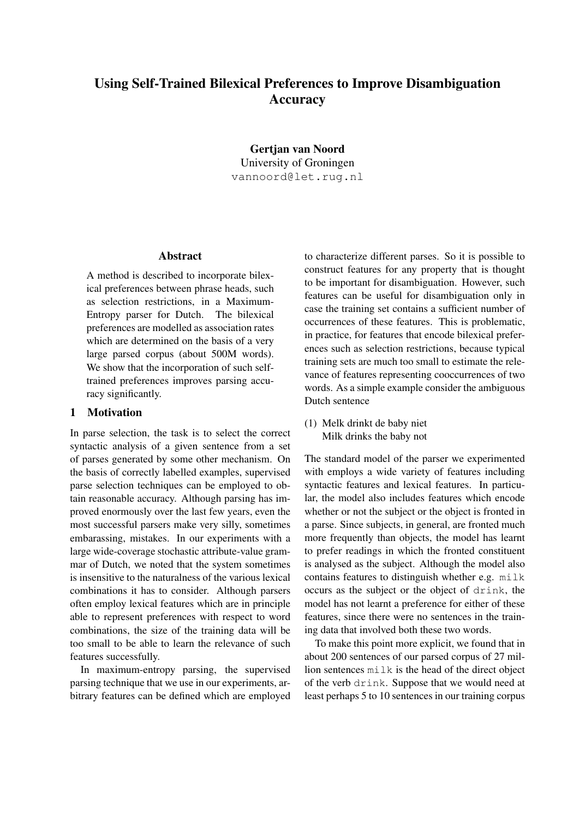# Using Self-Trained Bilexical Preferences to Improve Disambiguation Accuracy

Gertjan van Noord University of Groningen vannoord@let.rug.nl

#### Abstract

A method is described to incorporate bilexical preferences between phrase heads, such as selection restrictions, in a Maximum-Entropy parser for Dutch. The bilexical preferences are modelled as association rates which are determined on the basis of a very large parsed corpus (about 500M words). We show that the incorporation of such selftrained preferences improves parsing accuracy significantly.

# 1 Motivation

In parse selection, the task is to select the correct syntactic analysis of a given sentence from a set of parses generated by some other mechanism. On the basis of correctly labelled examples, supervised parse selection techniques can be employed to obtain reasonable accuracy. Although parsing has improved enormously over the last few years, even the most successful parsers make very silly, sometimes embarassing, mistakes. In our experiments with a large wide-coverage stochastic attribute-value grammar of Dutch, we noted that the system sometimes is insensitive to the naturalness of the various lexical combinations it has to consider. Although parsers often employ lexical features which are in principle able to represent preferences with respect to word combinations, the size of the training data will be too small to be able to learn the relevance of such features successfully.

In maximum-entropy parsing, the supervised parsing technique that we use in our experiments, arbitrary features can be defined which are employed to characterize different parses. So it is possible to construct features for any property that is thought to be important for disambiguation. However, such features can be useful for disambiguation only in case the training set contains a sufficient number of occurrences of these features. This is problematic, in practice, for features that encode bilexical preferences such as selection restrictions, because typical training sets are much too small to estimate the relevance of features representing cooccurrences of two words. As a simple example consider the ambiguous Dutch sentence

(1) Melk drinkt de baby niet Milk drinks the baby not

The standard model of the parser we experimented with employs a wide variety of features including syntactic features and lexical features. In particular, the model also includes features which encode whether or not the subject or the object is fronted in a parse. Since subjects, in general, are fronted much more frequently than objects, the model has learnt to prefer readings in which the fronted constituent is analysed as the subject. Although the model also contains features to distinguish whether e.g. milk occurs as the subject or the object of drink, the model has not learnt a preference for either of these features, since there were no sentences in the training data that involved both these two words.

To make this point more explicit, we found that in about 200 sentences of our parsed corpus of 27 million sentences milk is the head of the direct object of the verb drink. Suppose that we would need at least perhaps 5 to 10 sentences in our training corpus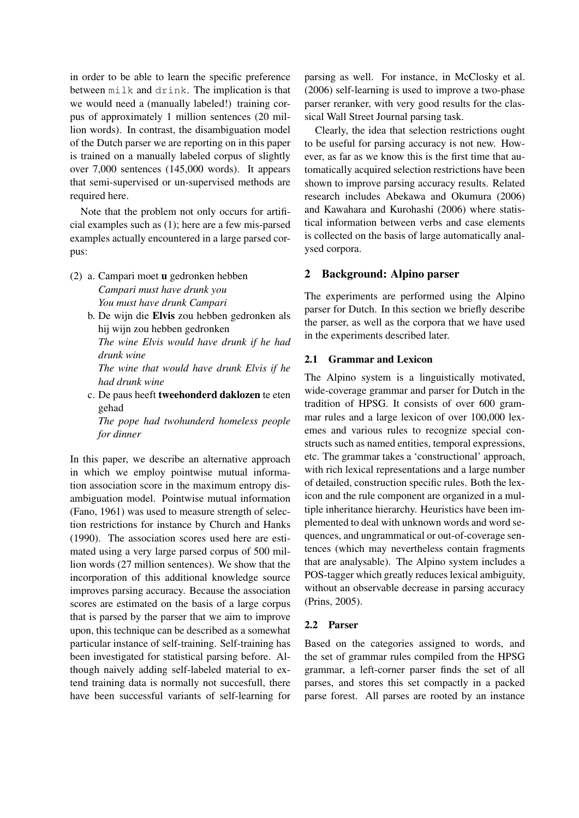in order to be able to learn the specific preference between milk and drink. The implication is that we would need a (manually labeled!) training corpus of approximately 1 million sentences (20 million words). In contrast, the disambiguation model of the Dutch parser we are reporting on in this paper is trained on a manually labeled corpus of slightly over 7,000 sentences (145,000 words). It appears that semi-supervised or un-supervised methods are required here.

Note that the problem not only occurs for artificial examples such as (1); here are a few mis-parsed examples actually encountered in a large parsed corpus:

- (2) a. Campari moet u gedronken hebben *Campari must have drunk you You must have drunk Campari*
	- b. De wijn die Elvis zou hebben gedronken als hij wijn zou hebben gedronken

*The wine Elvis would have drunk if he had drunk wine*

*The wine that would have drunk Elvis if he had drunk wine*

c. De paus heeft tweehonderd daklozen te eten gehad

*The pope had twohunderd homeless people for dinner*

In this paper, we describe an alternative approach in which we employ pointwise mutual information association score in the maximum entropy disambiguation model. Pointwise mutual information (Fano, 1961) was used to measure strength of selection restrictions for instance by Church and Hanks (1990). The association scores used here are estimated using a very large parsed corpus of 500 million words (27 million sentences). We show that the incorporation of this additional knowledge source improves parsing accuracy. Because the association scores are estimated on the basis of a large corpus that is parsed by the parser that we aim to improve upon, this technique can be described as a somewhat particular instance of self-training. Self-training has been investigated for statistical parsing before. Although naively adding self-labeled material to extend training data is normally not succesfull, there have been successful variants of self-learning for

parsing as well. For instance, in McClosky et al. (2006) self-learning is used to improve a two-phase parser reranker, with very good results for the classical Wall Street Journal parsing task.

Clearly, the idea that selection restrictions ought to be useful for parsing accuracy is not new. However, as far as we know this is the first time that automatically acquired selection restrictions have been shown to improve parsing accuracy results. Related research includes Abekawa and Okumura (2006) and Kawahara and Kurohashi (2006) where statistical information between verbs and case elements is collected on the basis of large automatically analysed corpora.

# 2 Background: Alpino parser

The experiments are performed using the Alpino parser for Dutch. In this section we briefly describe the parser, as well as the corpora that we have used in the experiments described later.

# 2.1 Grammar and Lexicon

The Alpino system is a linguistically motivated, wide-coverage grammar and parser for Dutch in the tradition of HPSG. It consists of over 600 grammar rules and a large lexicon of over 100,000 lexemes and various rules to recognize special constructs such as named entities, temporal expressions, etc. The grammar takes a 'constructional' approach, with rich lexical representations and a large number of detailed, construction specific rules. Both the lexicon and the rule component are organized in a multiple inheritance hierarchy. Heuristics have been implemented to deal with unknown words and word sequences, and ungrammatical or out-of-coverage sentences (which may nevertheless contain fragments that are analysable). The Alpino system includes a POS-tagger which greatly reduces lexical ambiguity, without an observable decrease in parsing accuracy (Prins, 2005).

# 2.2 Parser

Based on the categories assigned to words, and the set of grammar rules compiled from the HPSG grammar, a left-corner parser finds the set of all parses, and stores this set compactly in a packed parse forest. All parses are rooted by an instance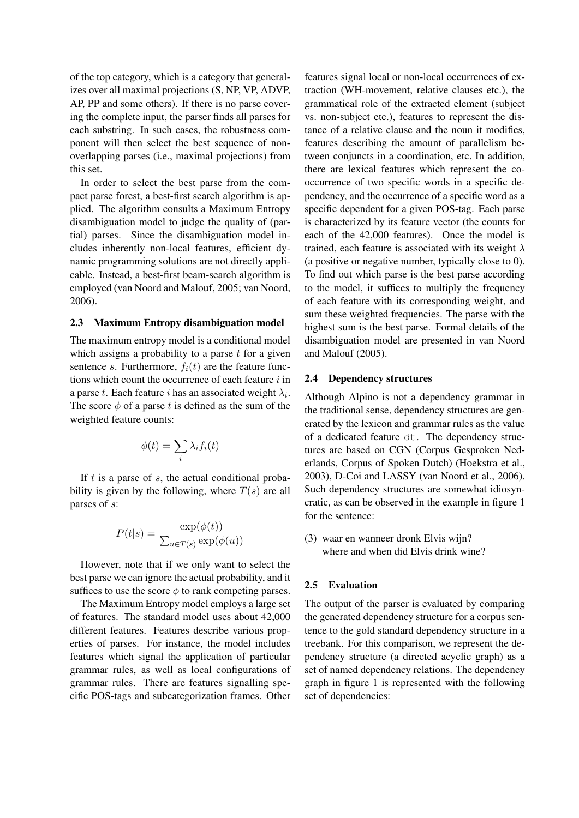of the top category, which is a category that generalizes over all maximal projections (S, NP, VP, ADVP, AP, PP and some others). If there is no parse covering the complete input, the parser finds all parses for each substring. In such cases, the robustness component will then select the best sequence of nonoverlapping parses (i.e., maximal projections) from this set.

In order to select the best parse from the compact parse forest, a best-first search algorithm is applied. The algorithm consults a Maximum Entropy disambiguation model to judge the quality of (partial) parses. Since the disambiguation model includes inherently non-local features, efficient dynamic programming solutions are not directly applicable. Instead, a best-first beam-search algorithm is employed (van Noord and Malouf, 2005; van Noord, 2006).

#### 2.3 Maximum Entropy disambiguation model

The maximum entropy model is a conditional model which assigns a probability to a parse  $t$  for a given sentence s. Furthermore,  $f_i(t)$  are the feature functions which count the occurrence of each feature  $i$  in a parse t. Each feature i has an associated weight  $\lambda_i$ . The score  $\phi$  of a parse t is defined as the sum of the weighted feature counts:

$$
\phi(t) = \sum_{i} \lambda_i f_i(t)
$$

If  $t$  is a parse of  $s$ , the actual conditional probability is given by the following, where  $T(s)$  are all parses of s:

$$
P(t|s) = \frac{\exp(\phi(t))}{\sum_{u \in T(s)} \exp(\phi(u))}
$$

However, note that if we only want to select the best parse we can ignore the actual probability, and it suffices to use the score  $\phi$  to rank competing parses.

The Maximum Entropy model employs a large set of features. The standard model uses about 42,000 different features. Features describe various properties of parses. For instance, the model includes features which signal the application of particular grammar rules, as well as local configurations of grammar rules. There are features signalling specific POS-tags and subcategorization frames. Other

features signal local or non-local occurrences of extraction (WH-movement, relative clauses etc.), the grammatical role of the extracted element (subject vs. non-subject etc.), features to represent the distance of a relative clause and the noun it modifies, features describing the amount of parallelism between conjuncts in a coordination, etc. In addition, there are lexical features which represent the cooccurrence of two specific words in a specific dependency, and the occurrence of a specific word as a specific dependent for a given POS-tag. Each parse is characterized by its feature vector (the counts for each of the 42,000 features). Once the model is trained, each feature is associated with its weight  $\lambda$ (a positive or negative number, typically close to 0). To find out which parse is the best parse according to the model, it suffices to multiply the frequency of each feature with its corresponding weight, and sum these weighted frequencies. The parse with the highest sum is the best parse. Formal details of the disambiguation model are presented in van Noord and Malouf (2005).

#### 2.4 Dependency structures

Although Alpino is not a dependency grammar in the traditional sense, dependency structures are generated by the lexicon and grammar rules as the value of a dedicated feature dt. The dependency structures are based on CGN (Corpus Gesproken Nederlands, Corpus of Spoken Dutch) (Hoekstra et al., 2003), D-Coi and LASSY (van Noord et al., 2006). Such dependency structures are somewhat idiosyncratic, as can be observed in the example in figure 1 for the sentence:

(3) waar en wanneer dronk Elvis wijn? where and when did Elvis drink wine?

# 2.5 Evaluation

The output of the parser is evaluated by comparing the generated dependency structure for a corpus sentence to the gold standard dependency structure in a treebank. For this comparison, we represent the dependency structure (a directed acyclic graph) as a set of named dependency relations. The dependency graph in figure 1 is represented with the following set of dependencies: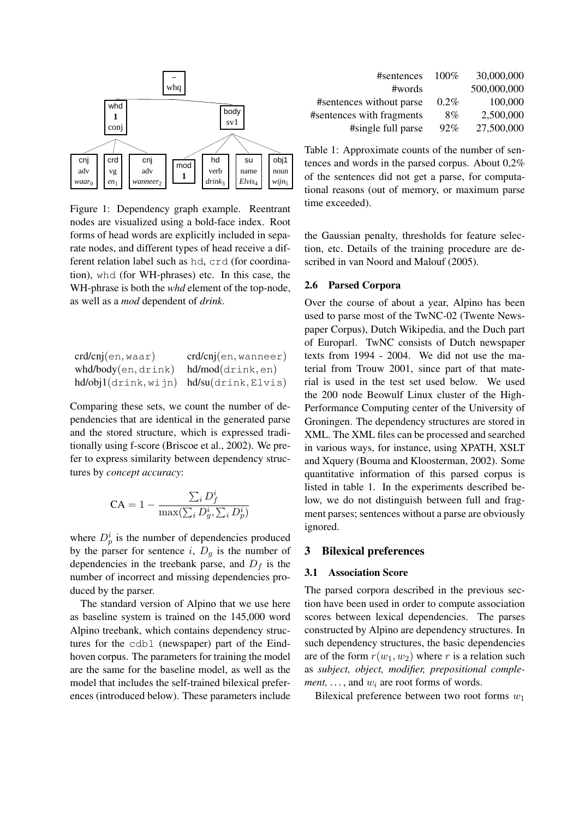

Figure 1: Dependency graph example. Reentrant nodes are visualized using a bold-face index. Root forms of head words are explicitly included in separate nodes, and different types of head receive a different relation label such as hd, crd (for coordination), whd (for WH-phrases) etc. In this case, the WH-phrase is both the *whd* element of the top-node, as well as a *mod* dependent of *drink*.

| crd/cnj(en, waar)                            | crd/cnj(en, wanneer) |
|----------------------------------------------|----------------------|
| whd/body(en,drink)                           | hd/mol(drink, en)    |
| $hd/obj1(drink, wijn)$ $hd/su(drink, Elvis)$ |                      |

Comparing these sets, we count the number of dependencies that are identical in the generated parse and the stored structure, which is expressed traditionally using f-score (Briscoe et al., 2002). We prefer to express similarity between dependency structures by *concept accuracy*:

$$
CA = 1 - \frac{\sum_{i} D_f^i}{\max(\sum_{i} D_g^i, \sum_{i} D_p^i)}
$$

where  $D_p^i$  is the number of dependencies produced by the parser for sentence i,  $D_q$  is the number of dependencies in the treebank parse, and  $D_f$  is the number of incorrect and missing dependencies produced by the parser.

The standard version of Alpino that we use here as baseline system is trained on the 145,000 word Alpino treebank, which contains dependency structures for the cdbl (newspaper) part of the Eindhoven corpus. The parameters for training the model are the same for the baseline model, as well as the model that includes the self-trained bilexical preferences (introduced below). These parameters include

| #sentences                | 100%    | 30,000,000  |
|---------------------------|---------|-------------|
| #words                    |         | 500,000,000 |
| #sentences without parse  | $0.2\%$ | 100,000     |
| #sentences with fragments | 8%      | 2,500,000   |
| #single full parse        | $92\%$  | 27,500,000  |

Table 1: Approximate counts of the number of sentences and words in the parsed corpus. About 0,2% of the sentences did not get a parse, for computational reasons (out of memory, or maximum parse time exceeded).

the Gaussian penalty, thresholds for feature selection, etc. Details of the training procedure are described in van Noord and Malouf (2005).

#### 2.6 Parsed Corpora

Over the course of about a year, Alpino has been used to parse most of the TwNC-02 (Twente Newspaper Corpus), Dutch Wikipedia, and the Duch part of Europarl. TwNC consists of Dutch newspaper texts from 1994 - 2004. We did not use the material from Trouw 2001, since part of that material is used in the test set used below. We used the 200 node Beowulf Linux cluster of the High-Performance Computing center of the University of Groningen. The dependency structures are stored in XML. The XML files can be processed and searched in various ways, for instance, using XPATH, XSLT and Xquery (Bouma and Kloosterman, 2002). Some quantitative information of this parsed corpus is listed in table 1. In the experiments described below, we do not distinguish between full and fragment parses; sentences without a parse are obviously ignored.

#### 3 Bilexical preferences

#### 3.1 Association Score

The parsed corpora described in the previous section have been used in order to compute association scores between lexical dependencies. The parses constructed by Alpino are dependency structures. In such dependency structures, the basic dependencies are of the form  $r(w_1, w_2)$  where r is a relation such as *subject, object, modifier, prepositional complement, ...,* and  $w_i$  are root forms of words.

Bilexical preference between two root forms  $w_1$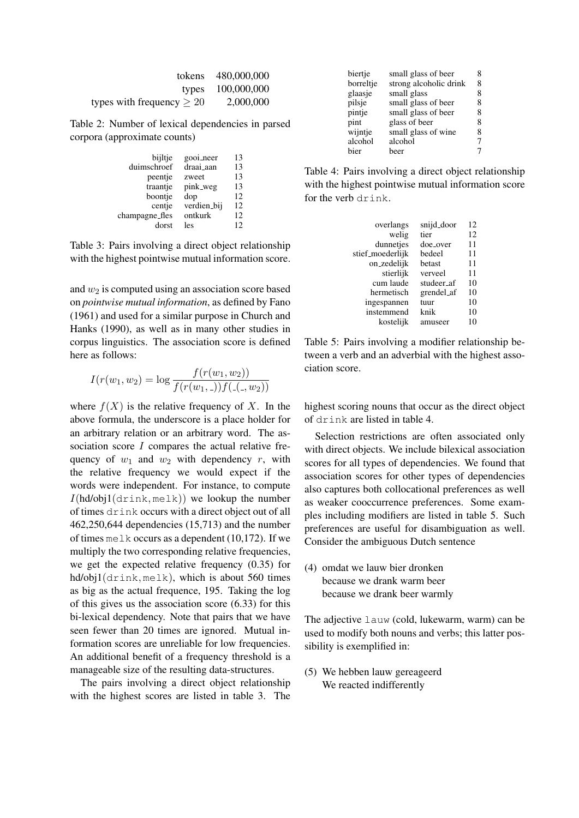| tokens                         | 480,000,000 |
|--------------------------------|-------------|
| types                          | 100,000,000 |
| types with frequency $\geq 20$ | 2,000,000   |

Table 2: Number of lexical dependencies in parsed corpora (approximate counts)

| bijltje        | gooi_neer   | 13 |
|----------------|-------------|----|
| duimschroef    | draai_aan   | 13 |
| peentje        | zweet       | 13 |
| traantje       | pink_weg    | 13 |
| boontje        | dop         | 12 |
| centje         | verdien_bij | 12 |
| champagne_fles | ontkurk     | 12 |
| dorst          | les         | 12 |
|                |             |    |

Table 3: Pairs involving a direct object relationship with the highest pointwise mutual information score.

and  $w_2$  is computed using an association score based on *pointwise mutual information*, as defined by Fano (1961) and used for a similar purpose in Church and Hanks (1990), as well as in many other studies in corpus linguistics. The association score is defined here as follows:

$$
I(r(w_1, w_2) = \log \frac{f(r(w_1, w_2))}{f(r(w_1, ...)) f((-, w_2))}
$$

where  $f(X)$  is the relative frequency of X. In the above formula, the underscore is a place holder for an arbitrary relation or an arbitrary word. The association score  $I$  compares the actual relative frequency of  $w_1$  and  $w_2$  with dependency r, with the relative frequency we would expect if the words were independent. For instance, to compute  $I(hd/obj1(\text{drink}, \text{melk}))$  we lookup the number of times drink occurs with a direct object out of all 462,250,644 dependencies (15,713) and the number of times melk occurs as a dependent  $(10,172)$ . If we multiply the two corresponding relative frequencies, we get the expected relative frequency (0.35) for hd/obj1(drink, melk), which is about 560 times as big as the actual frequence, 195. Taking the log of this gives us the association score (6.33) for this bi-lexical dependency. Note that pairs that we have seen fewer than 20 times are ignored. Mutual information scores are unreliable for low frequencies. An additional benefit of a frequency threshold is a manageable size of the resulting data-structures.

The pairs involving a direct object relationship with the highest scores are listed in table 3. The

| biertje   | small glass of beer    | 8 |
|-----------|------------------------|---|
| borreltje | strong alcoholic drink | 8 |
| glaasje   | small glass            | 8 |
| pilsje    | small glass of beer    | 8 |
| pintje    | small glass of beer    | 8 |
| pint      | glass of beer          | 8 |
| wijntje   | small glass of wine    | 8 |
| alcohol   | alcohol                | 7 |
| bier      | beer                   | 7 |

Table 4: Pairs involving a direct object relationship with the highest pointwise mutual information score for the verb drink.

| overlangs        | snijd_door | 12 |
|------------------|------------|----|
| welig            | tier       | 12 |
| dunnetjes        | doe_over   | 11 |
| stief_moederlijk | bedeel     | 11 |
| on_zedelijk      | betast     | 11 |
| stierlijk        | verveel    | 11 |
| cum laude        | studeer_af | 10 |
| hermetisch       | grendel_af | 10 |
| ingespannen      | tuur       | 10 |
| instemmend       | knik       | 10 |
| kostelijk        | amuseer    | 10 |

Table 5: Pairs involving a modifier relationship between a verb and an adverbial with the highest association score.

highest scoring nouns that occur as the direct object of drink are listed in table 4.

Selection restrictions are often associated only with direct objects. We include bilexical association scores for all types of dependencies. We found that association scores for other types of dependencies also captures both collocational preferences as well as weaker cooccurrence preferences. Some examples including modifiers are listed in table 5. Such preferences are useful for disambiguation as well. Consider the ambiguous Dutch sentence

(4) omdat we lauw bier dronken because we drank warm beer because we drank beer warmly

The adjective lauw (cold, lukewarm, warm) can be used to modify both nouns and verbs; this latter possibility is exemplified in:

(5) We hebben lauw gereageerd We reacted indifferently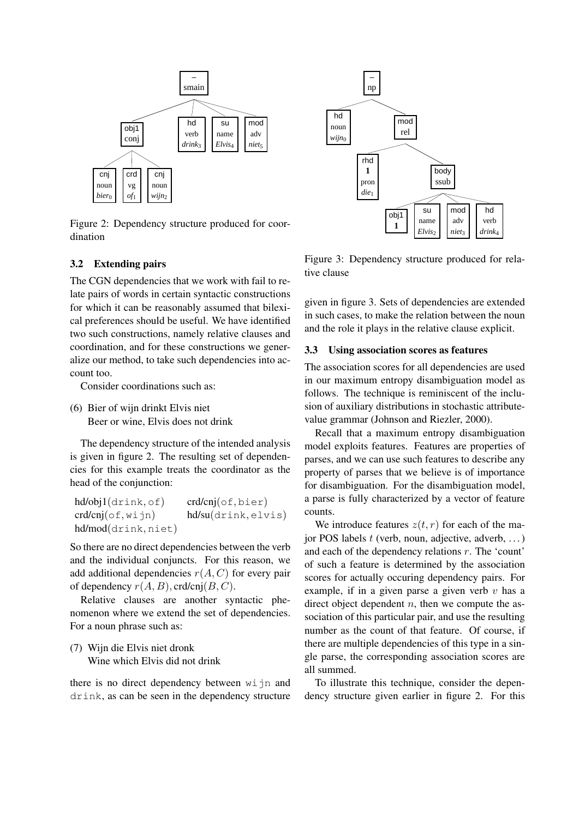

Figure 2: Dependency structure produced for coordination

## 3.2 Extending pairs

The CGN dependencies that we work with fail to relate pairs of words in certain syntactic constructions for which it can be reasonably assumed that bilexical preferences should be useful. We have identified two such constructions, namely relative clauses and coordination, and for these constructions we generalize our method, to take such dependencies into account too.

Consider coordinations such as:

(6) Bier of wijn drinkt Elvis niet Beer or wine, Elvis does not drink

The dependency structure of the intended analysis is given in figure 2. The resulting set of dependencies for this example treats the coordinator as the head of the conjunction:

| hd/obj1(drink, of)     | $crd/cnj($ of, bier) |
|------------------------|----------------------|
| $crd/cnj($ of,wijn $)$ | hd/su(drink, elvis)  |
| hd/mol(drink,niet)     |                      |

So there are no direct dependencies between the verb and the individual conjuncts. For this reason, we add additional dependencies  $r(A, C)$  for every pair of dependency  $r(A, B)$ , crd/cnj $(B, C)$ .

Relative clauses are another syntactic phenomenon where we extend the set of dependencies. For a noun phrase such as:

(7) Wijn die Elvis niet dronk Wine which Elvis did not drink

there is no direct dependency between wijn and drink, as can be seen in the dependency structure



Figure 3: Dependency structure produced for relative clause

given in figure 3. Sets of dependencies are extended in such cases, to make the relation between the noun and the role it plays in the relative clause explicit.

## 3.3 Using association scores as features

The association scores for all dependencies are used in our maximum entropy disambiguation model as follows. The technique is reminiscent of the inclusion of auxiliary distributions in stochastic attributevalue grammar (Johnson and Riezler, 2000).

Recall that a maximum entropy disambiguation model exploits features. Features are properties of parses, and we can use such features to describe any property of parses that we believe is of importance for disambiguation. For the disambiguation model, a parse is fully characterized by a vector of feature counts.

We introduce features  $z(t, r)$  for each of the major POS labels  $t$  (verb, noun, adjective, adverb, ...) and each of the dependency relations  $r$ . The 'count' of such a feature is determined by the association scores for actually occuring dependency pairs. For example, if in a given parse a given verb  $v$  has a direct object dependent  $n$ , then we compute the association of this particular pair, and use the resulting number as the count of that feature. Of course, if there are multiple dependencies of this type in a single parse, the corresponding association scores are all summed.

To illustrate this technique, consider the dependency structure given earlier in figure 2. For this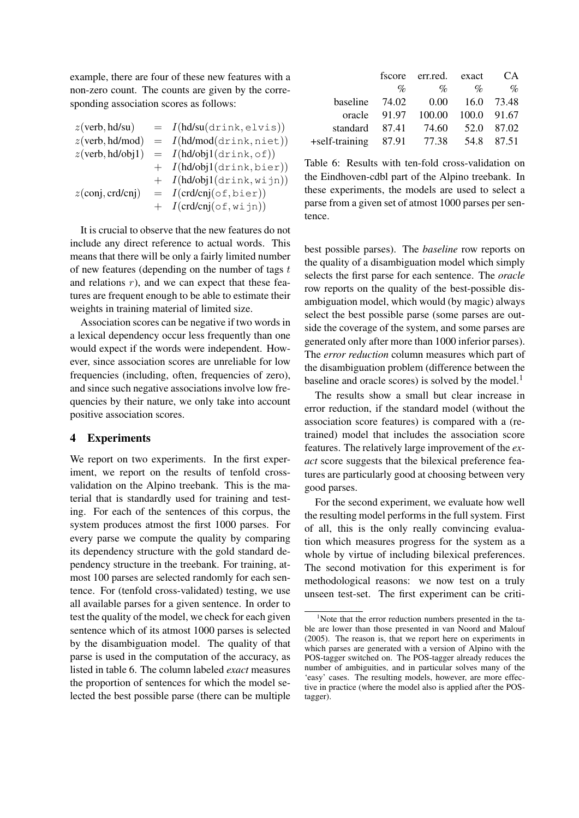example, there are four of these new features with a non-zero count. The counts are given by the corresponding association scores as follows:

$$
z(\text{verb},\text{hd}/\text{su}) = I(\text{hd}/\text{su}(\text{drink},\text{elvis}))
$$
\n
$$
z(\text{verb},\text{hd}/\text{mod}) = I(\text{hd}/\text{mod}(\text{drink},\text{niet}))
$$
\n
$$
z(\text{verb},\text{hd}/\text{obj1}) = I(\text{hd}/\text{obj1}(\text{drink},\text{of}))
$$
\n
$$
+ I(\text{hd}/\text{obj1}(\text{drink},\text{bier}))
$$
\n
$$
z(\text{conj},\text{crd}/\text{cnj}) = I(\text{crd}/\text{cnj}(\text{of},\text{bier}))
$$
\n
$$
+ I(\text{crd}/\text{cnj}(\text{of},\text{wijn}))
$$

It is crucial to observe that the new features do not include any direct reference to actual words. This means that there will be only a fairly limited number of new features (depending on the number of tags  $t$ and relations  $r$ ), and we can expect that these features are frequent enough to be able to estimate their weights in training material of limited size.

Association scores can be negative if two words in a lexical dependency occur less frequently than one would expect if the words were independent. However, since association scores are unreliable for low frequencies (including, often, frequencies of zero), and since such negative associations involve low frequencies by their nature, we only take into account positive association scores.

# 4 Experiments

We report on two experiments. In the first experiment, we report on the results of tenfold crossvalidation on the Alpino treebank. This is the material that is standardly used for training and testing. For each of the sentences of this corpus, the system produces atmost the first 1000 parses. For every parse we compute the quality by comparing its dependency structure with the gold standard dependency structure in the treebank. For training, atmost 100 parses are selected randomly for each sentence. For (tenfold cross-validated) testing, we use all available parses for a given sentence. In order to test the quality of the model, we check for each given sentence which of its atmost 1000 parses is selected by the disambiguation model. The quality of that parse is used in the computation of the accuracy, as listed in table 6. The column labeled *exact* measures the proportion of sentences for which the model selected the best possible parse (there can be multiple

|                               |              | fscore err.red. exact |             | CA.        |
|-------------------------------|--------------|-----------------------|-------------|------------|
|                               | $\%$         | $\%$                  | $\%$        | $\%$       |
| baseline 74.02                |              | $0.00\,$              |             | 16.0 73.48 |
|                               | oracle 91.97 | 100.00                | 100.0 91.67 |            |
| standard                      | 87.41        | 74.60                 |             | 52.0 87.02 |
| $+$ self-training 87.91 77.38 |              |                       |             | 54.8 87.51 |

Table 6: Results with ten-fold cross-validation on the Eindhoven-cdbl part of the Alpino treebank. In these experiments, the models are used to select a parse from a given set of atmost 1000 parses per sentence.

best possible parses). The *baseline* row reports on the quality of a disambiguation model which simply selects the first parse for each sentence. The *oracle* row reports on the quality of the best-possible disambiguation model, which would (by magic) always select the best possible parse (some parses are outside the coverage of the system, and some parses are generated only after more than 1000 inferior parses). The *error reduction* column measures which part of the disambiguation problem (difference between the baseline and oracle scores) is solved by the model.<sup>1</sup>

The results show a small but clear increase in error reduction, if the standard model (without the association score features) is compared with a (retrained) model that includes the association score features. The relatively large improvement of the *exact* score suggests that the bilexical preference features are particularly good at choosing between very good parses.

For the second experiment, we evaluate how well the resulting model performs in the full system. First of all, this is the only really convincing evaluation which measures progress for the system as a whole by virtue of including bilexical preferences. The second motivation for this experiment is for methodological reasons: we now test on a truly unseen test-set. The first experiment can be criti-

<sup>&</sup>lt;sup>1</sup>Note that the error reduction numbers presented in the table are lower than those presented in van Noord and Malouf (2005). The reason is, that we report here on experiments in which parses are generated with a version of Alpino with the POS-tagger switched on. The POS-tagger already reduces the number of ambiguities, and in particular solves many of the 'easy' cases. The resulting models, however, are more effective in practice (where the model also is applied after the POStagger).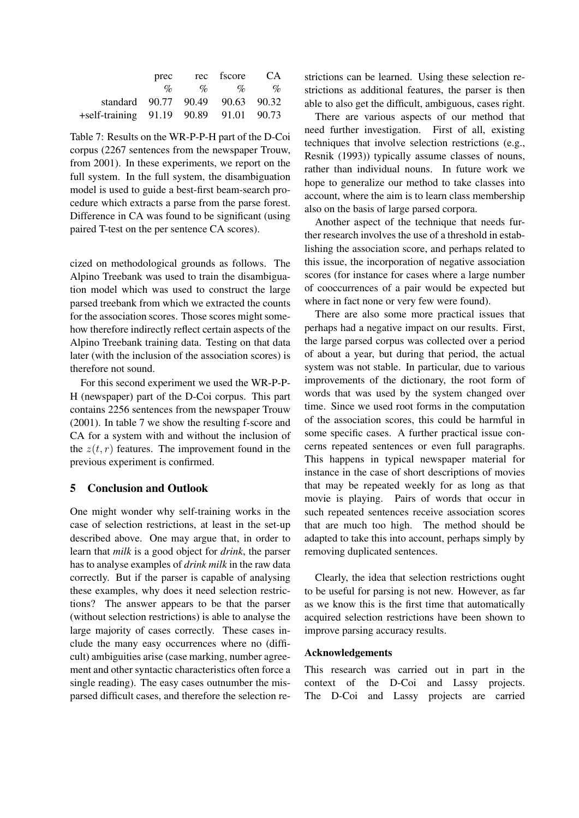|                                        | prec            | rec fscore              | - CA             |
|----------------------------------------|-----------------|-------------------------|------------------|
|                                        | $\mathscr{A}_0$ | $\%$<br>$\mathscr{A}_0$ | $\mathcal{O}'_0$ |
| standard 90.77 90.49 90.63 90.32       |                 |                         |                  |
| +self-training 91.19 90.89 91.01 90.73 |                 |                         |                  |

Table 7: Results on the WR-P-P-H part of the D-Coi corpus (2267 sentences from the newspaper Trouw, from 2001). In these experiments, we report on the full system. In the full system, the disambiguation model is used to guide a best-first beam-search procedure which extracts a parse from the parse forest. Difference in CA was found to be significant (using paired T-test on the per sentence CA scores).

cized on methodological grounds as follows. The Alpino Treebank was used to train the disambiguation model which was used to construct the large parsed treebank from which we extracted the counts for the association scores. Those scores might somehow therefore indirectly reflect certain aspects of the Alpino Treebank training data. Testing on that data later (with the inclusion of the association scores) is therefore not sound.

For this second experiment we used the WR-P-P-H (newspaper) part of the D-Coi corpus. This part contains 2256 sentences from the newspaper Trouw (2001). In table 7 we show the resulting f-score and CA for a system with and without the inclusion of the  $z(t, r)$  features. The improvement found in the previous experiment is confirmed.

# 5 Conclusion and Outlook

One might wonder why self-training works in the case of selection restrictions, at least in the set-up described above. One may argue that, in order to learn that *milk* is a good object for *drink*, the parser has to analyse examples of *drink milk* in the raw data correctly. But if the parser is capable of analysing these examples, why does it need selection restrictions? The answer appears to be that the parser (without selection restrictions) is able to analyse the large majority of cases correctly. These cases include the many easy occurrences where no (difficult) ambiguities arise (case marking, number agreement and other syntactic characteristics often force a single reading). The easy cases outnumber the misparsed difficult cases, and therefore the selection restrictions can be learned. Using these selection restrictions as additional features, the parser is then able to also get the difficult, ambiguous, cases right.

There are various aspects of our method that need further investigation. First of all, existing techniques that involve selection restrictions (e.g., Resnik (1993)) typically assume classes of nouns, rather than individual nouns. In future work we hope to generalize our method to take classes into account, where the aim is to learn class membership also on the basis of large parsed corpora.

Another aspect of the technique that needs further research involves the use of a threshold in establishing the association score, and perhaps related to this issue, the incorporation of negative association scores (for instance for cases where a large number of cooccurrences of a pair would be expected but where in fact none or very few were found).

There are also some more practical issues that perhaps had a negative impact on our results. First, the large parsed corpus was collected over a period of about a year, but during that period, the actual system was not stable. In particular, due to various improvements of the dictionary, the root form of words that was used by the system changed over time. Since we used root forms in the computation of the association scores, this could be harmful in some specific cases. A further practical issue concerns repeated sentences or even full paragraphs. This happens in typical newspaper material for instance in the case of short descriptions of movies that may be repeated weekly for as long as that movie is playing. Pairs of words that occur in such repeated sentences receive association scores that are much too high. The method should be adapted to take this into account, perhaps simply by removing duplicated sentences.

Clearly, the idea that selection restrictions ought to be useful for parsing is not new. However, as far as we know this is the first time that automatically acquired selection restrictions have been shown to improve parsing accuracy results.

## Acknowledgements

This research was carried out in part in the context of the D-Coi and Lassy projects. The D-Coi and Lassy projects are carried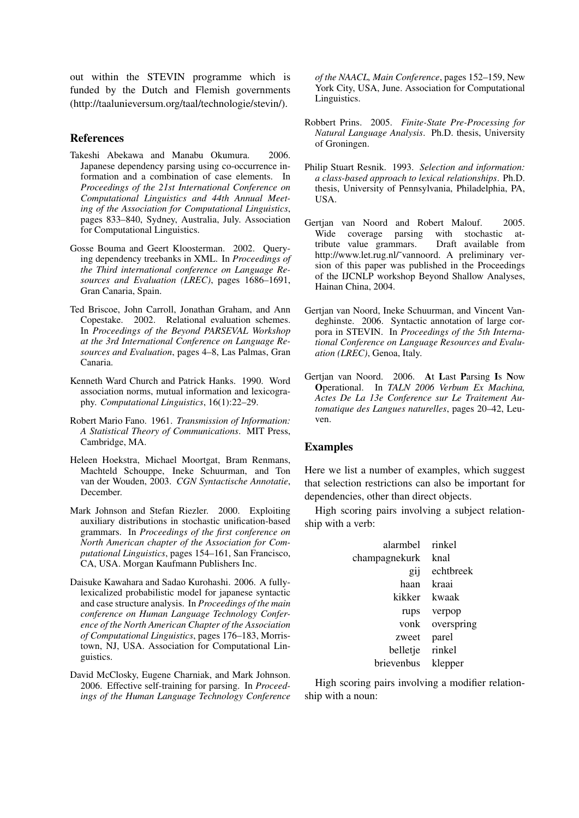out within the STEVIN programme which is funded by the Dutch and Flemish governments (http://taalunieversum.org/taal/technologie/stevin/).

#### References

- Takeshi Abekawa and Manabu Okumura. 2006. Japanese dependency parsing using co-occurrence information and a combination of case elements. In *Proceedings of the 21st International Conference on Computational Linguistics and 44th Annual Meeting of the Association for Computational Linguistics*, pages 833–840, Sydney, Australia, July. Association for Computational Linguistics.
- Gosse Bouma and Geert Kloosterman. 2002. Querying dependency treebanks in XML. In *Proceedings of the Third international conference on Language Resources and Evaluation (LREC)*, pages 1686–1691, Gran Canaria, Spain.
- Ted Briscoe, John Carroll, Jonathan Graham, and Ann Copestake. 2002. Relational evaluation schemes. In *Proceedings of the Beyond PARSEVAL Workshop at the 3rd International Conference on Language Resources and Evaluation*, pages 4–8, Las Palmas, Gran Canaria.
- Kenneth Ward Church and Patrick Hanks. 1990. Word association norms, mutual information and lexicography. *Computational Linguistics*, 16(1):22–29.
- Robert Mario Fano. 1961. *Transmission of Information: A Statistical Theory of Communications*. MIT Press, Cambridge, MA.
- Heleen Hoekstra, Michael Moortgat, Bram Renmans, Machteld Schouppe, Ineke Schuurman, and Ton van der Wouden, 2003. *CGN Syntactische Annotatie*, December.
- Mark Johnson and Stefan Riezler. 2000. Exploiting auxiliary distributions in stochastic unification-based grammars. In *Proceedings of the first conference on North American chapter of the Association for Computational Linguistics*, pages 154–161, San Francisco, CA, USA. Morgan Kaufmann Publishers Inc.
- Daisuke Kawahara and Sadao Kurohashi. 2006. A fullylexicalized probabilistic model for japanese syntactic and case structure analysis. In *Proceedings of the main conference on Human Language Technology Conference of the North American Chapter of the Association of Computational Linguistics*, pages 176–183, Morristown, NJ, USA. Association for Computational Linguistics.
- David McClosky, Eugene Charniak, and Mark Johnson. 2006. Effective self-training for parsing. In *Proceedings of the Human Language Technology Conference*

*of the NAACL, Main Conference*, pages 152–159, New York City, USA, June. Association for Computational Linguistics.

- Robbert Prins. 2005. *Finite-State Pre-Processing for Natural Language Analysis*. Ph.D. thesis, University of Groningen.
- Philip Stuart Resnik. 1993. *Selection and information: a class-based approach to lexical relationships*. Ph.D. thesis, University of Pennsylvania, Philadelphia, PA, USA.
- Gertjan van Noord and Robert Malouf. 2005. Wide coverage parsing with stochastic at-<br>tribute value grammars. Draft available from tribute value grammars. http://www.let.rug.nl/˜vannoord. A preliminary version of this paper was published in the Proceedings of the IJCNLP workshop Beyond Shallow Analyses, Hainan China, 2004.
- Gertjan van Noord, Ineke Schuurman, and Vincent Vandeghinste. 2006. Syntactic annotation of large corpora in STEVIN. In *Proceedings of the 5th International Conference on Language Resources and Evaluation (LREC)*, Genoa, Italy.
- Gertjan van Noord. 2006. At Last Parsing Is Now Operational. In *TALN 2006 Verbum Ex Machina, Actes De La 13e Conference sur Le Traitement Automatique des Langues naturelles*, pages 20–42, Leuven.

## Examples

Here we list a number of examples, which suggest that selection restrictions can also be important for dependencies, other than direct objects.

High scoring pairs involving a subject relationship with a verb:

| alarmbel             | rinkel     |
|----------------------|------------|
| champagnekurk        | knal       |
| <b>g<sub>1</sub></b> | echtbreek  |
| haan                 | kraai      |
| kikker               | kwaak      |
| rups                 | verpop     |
| vonk                 | overspring |
| zweet                | parel      |
| belletje             | rinkel     |
| brievenbus           | klepper    |

High scoring pairs involving a modifier relationship with a noun: